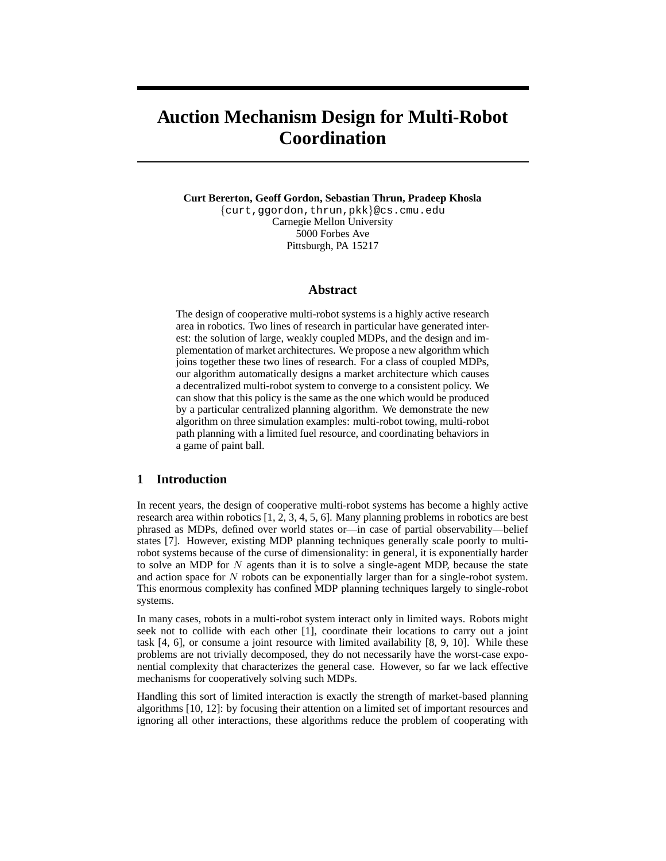# **Auction Mechanism Design for Multi-Robot Coordination**

**Curt Bererton, Geoff Gordon, Sebastian Thrun, Pradeep Khosla**

{curt,ggordon,thrun,pkk}@cs.cmu.edu Carnegie Mellon University 5000 Forbes Ave Pittsburgh, PA 15217

# **Abstract**

The design of cooperative multi-robot systems is a highly active research area in robotics. Two lines of research in particular have generated interest: the solution of large, weakly coupled MDPs, and the design and implementation of market architectures. We propose a new algorithm which joins together these two lines of research. For a class of coupled MDPs, our algorithm automatically designs a market architecture which causes a decentralized multi-robot system to converge to a consistent policy. We can show that this policy is the same as the one which would be produced by a particular centralized planning algorithm. We demonstrate the new algorithm on three simulation examples: multi-robot towing, multi-robot path planning with a limited fuel resource, and coordinating behaviors in a game of paint ball.

# **1 Introduction**

In recent years, the design of cooperative multi-robot systems has become a highly active research area within robotics [1, 2, 3, 4, 5, 6]. Many planning problems in robotics are best phrased as MDPs, defined over world states or—in case of partial observability—belief states [7]. However, existing MDP planning techniques generally scale poorly to multirobot systems because of the curse of dimensionality: in general, it is exponentially harder to solve an MDP for  $N$  agents than it is to solve a single-agent MDP, because the state and action space for N robots can be exponentially larger than for a single-robot system. This enormous complexity has confined MDP planning techniques largely to single-robot systems.

In many cases, robots in a multi-robot system interact only in limited ways. Robots might seek not to collide with each other [1], coordinate their locations to carry out a joint task [4, 6], or consume a joint resource with limited availability [8, 9, 10]. While these problems are not trivially decomposed, they do not necessarily have the worst-case exponential complexity that characterizes the general case. However, so far we lack effective mechanisms for cooperatively solving such MDPs.

Handling this sort of limited interaction is exactly the strength of market-based planning algorithms [10, 12]: by focusing their attention on a limited set of important resources and ignoring all other interactions, these algorithms reduce the problem of cooperating with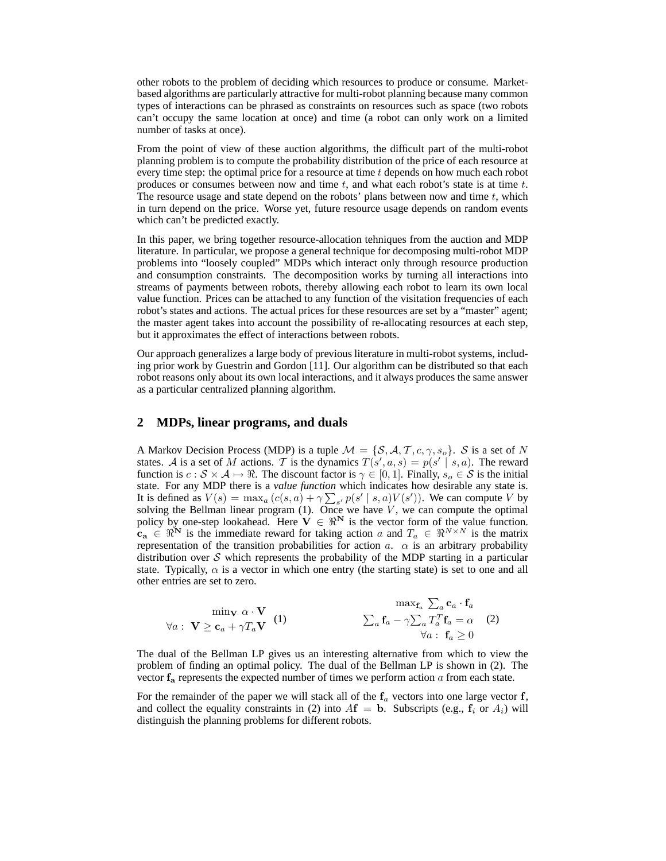other robots to the problem of deciding which resources to produce or consume. Marketbased algorithms are particularly attractive for multi-robot planning because many common types of interactions can be phrased as constraints on resources such as space (two robots can't occupy the same location at once) and time (a robot can only work on a limited number of tasks at once).

From the point of view of these auction algorithms, the difficult part of the multi-robot planning problem is to compute the probability distribution of the price of each resource at every time step: the optimal price for a resource at time  $t$  depends on how much each robot produces or consumes between now and time  $t$ , and what each robot's state is at time  $t$ . The resource usage and state depend on the robots' plans between now and time  $t$ , which in turn depend on the price. Worse yet, future resource usage depends on random events which can't be predicted exactly.

In this paper, we bring together resource-allocation tehniques from the auction and MDP literature. In particular, we propose a general technique for decomposing multi-robot MDP problems into "loosely coupled" MDPs which interact only through resource production and consumption constraints. The decomposition works by turning all interactions into streams of payments between robots, thereby allowing each robot to learn its own local value function. Prices can be attached to any function of the visitation frequencies of each robot's states and actions. The actual prices for these resources are set by a "master" agent; the master agent takes into account the possibility of re-allocating resources at each step, but it approximates the effect of interactions between robots.

Our approach generalizes a large body of previous literature in multi-robot systems, including prior work by Guestrin and Gordon [11]. Our algorithm can be distributed so that each robot reasons only about its own local interactions, and it always produces the same answer as a particular centralized planning algorithm.

### **2 MDPs, linear programs, and duals**

A Markov Decision Process (MDP) is a tuple  $\mathcal{M} = \{\mathcal{S}, \mathcal{A}, \mathcal{T}, c, \gamma, s_o\}$ .  $\mathcal{S}$  is a set of N states. A is a set of M actions. T is the dynamics  $T(s', a, s) = p(s' | s, a)$ . The reward function is  $c : S \times A \mapsto \Re$ . The discount factor is  $\gamma \in [0, 1]$ . Finally,  $s_o \in S$  is the initial state. For any MDP there is a *value function* which indicates how desirable any state is. It is defined as  $V(s) = \max_a (c(s, a) + \gamma \sum_{s'} p(s' | s, a) V(s') )$ . We can compute V by solving the Bellman linear program  $(1)$ . Once we have  $V$ , we can compute the optimal policy by one-step lookahead. Here  $V \in \mathbb{R}^N$  is the vector form of the value function.  $c_{\bf a} \in \mathbb{R}^{N}$  is the immediate reward for taking action a and  $T_a \in \mathbb{R}^{N \times N}$  is the matrix representation of the transition probabilities for action  $a$ .  $\alpha$  is an arbitrary probability distribution over  $S$  which represents the probability of the MDP starting in a particular state. Typically,  $\alpha$  is a vector in which one entry (the starting state) is set to one and all other entries are set to zero.

$$
\min_{\forall a : \mathbf{V} \ge \mathbf{c}_a + \gamma T_a \mathbf{V}} \text{ (1)} \qquad \sum_a \mathbf{f}_a - \gamma \sum_a T_a^T \mathbf{f}_a = \alpha \quad (2)
$$
\n
$$
\forall a : \mathbf{V} \ge \mathbf{c}_a + \gamma T_a \mathbf{V}
$$

The dual of the Bellman LP gives us an interesting alternative from which to view the problem of finding an optimal policy. The dual of the Bellman LP is shown in (2). The vector  $f_a$  represents the expected number of times we perform action  $a$  from each state.

For the remainder of the paper we will stack all of the  $f_a$  vectors into one large vector  $f$ , and collect the equality constraints in (2) into  $A\mathbf{f} = \mathbf{b}$ . Subscripts (e.g.,  $f_i$  or  $A_i$ ) will distinguish the planning problems for different robots.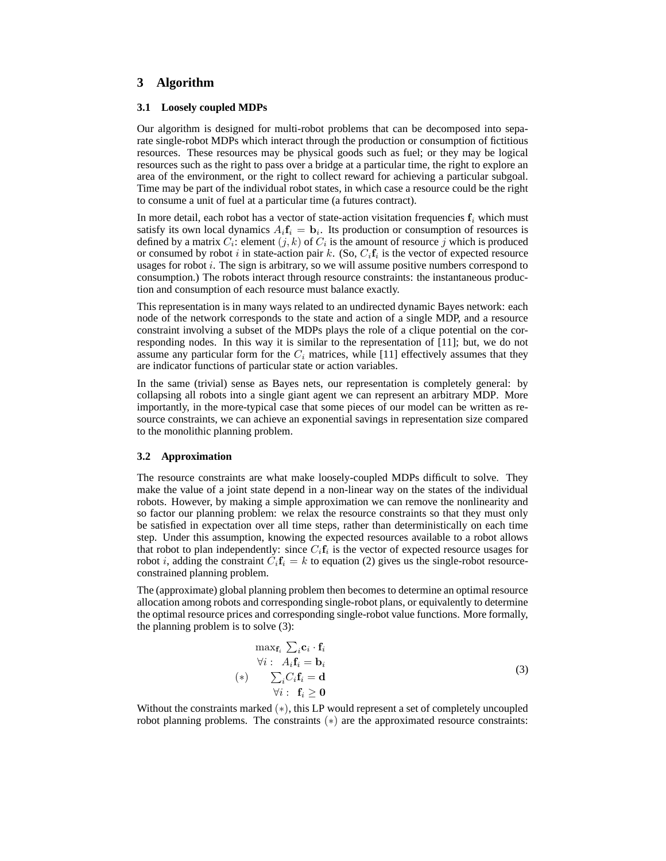# **3 Algorithm**

#### **3.1 Loosely coupled MDPs**

Our algorithm is designed for multi-robot problems that can be decomposed into separate single-robot MDPs which interact through the production or consumption of fictitious resources. These resources may be physical goods such as fuel; or they may be logical resources such as the right to pass over a bridge at a particular time, the right to explore an area of the environment, or the right to collect reward for achieving a particular subgoal. Time may be part of the individual robot states, in which case a resource could be the right to consume a unit of fuel at a particular time (a futures contract).

In more detail, each robot has a vector of state-action visitation frequencies  $f_i$  which must satisfy its own local dynamics  $A_i \mathbf{f}_i = \mathbf{b}_i$ . Its production or consumption of resources is defined by a matrix  $C_i$ : element  $(j, k)$  of  $C_i$  is the amount of resource  $j$  which is produced or consumed by robot i in state-action pair k. (So,  $C_i$ f<sub>i</sub> is the vector of expected resource usages for robot  $i$ . The sign is arbitrary, so we will assume positive numbers correspond to consumption.) The robots interact through resource constraints: the instantaneous production and consumption of each resource must balance exactly.

This representation is in many ways related to an undirected dynamic Bayes network: each node of the network corresponds to the state and action of a single MDP, and a resource constraint involving a subset of the MDPs plays the role of a clique potential on the corresponding nodes. In this way it is similar to the representation of [11]; but, we do not assume any particular form for the  $C_i$  matrices, while [11] effectively assumes that they are indicator functions of particular state or action variables.

In the same (trivial) sense as Bayes nets, our representation is completely general: by collapsing all robots into a single giant agent we can represent an arbitrary MDP. More importantly, in the more-typical case that some pieces of our model can be written as resource constraints, we can achieve an exponential savings in representation size compared to the monolithic planning problem.

#### **3.2 Approximation**

The resource constraints are what make loosely-coupled MDPs difficult to solve. They make the value of a joint state depend in a non-linear way on the states of the individual robots. However, by making a simple approximation we can remove the nonlinearity and so factor our planning problem: we relax the resource constraints so that they must only be satisfied in expectation over all time steps, rather than deterministically on each time step. Under this assumption, knowing the expected resources available to a robot allows that robot to plan independently: since  $C_i$ **f**<sub>i</sub> is the vector of expected resource usages for robot *i*, adding the constraint  $C_i f_i = k$  to equation (2) gives us the single-robot resourceconstrained planning problem.

The (approximate) global planning problem then becomes to determine an optimal resource allocation among robots and corresponding single-robot plans, or equivalently to determine the optimal resource prices and corresponding single-robot value functions. More formally, the planning problem is to solve (3):

$$
\max_{\mathbf{f}_i} \sum_i \mathbf{c}_i \cdot \mathbf{f}_i
$$
  
\n
$$
\forall i : A_i \mathbf{f}_i = \mathbf{b}_i
$$
  
\n
$$
(*) \sum_i C_i \mathbf{f}_i = \mathbf{d}
$$
  
\n
$$
\forall i : \mathbf{f}_i \geq \mathbf{0}
$$
\n(3)

Without the constraints marked  $(*)$ , this LP would represent a set of completely uncoupled robot planning problems. The constraints (∗) are the approximated resource constraints: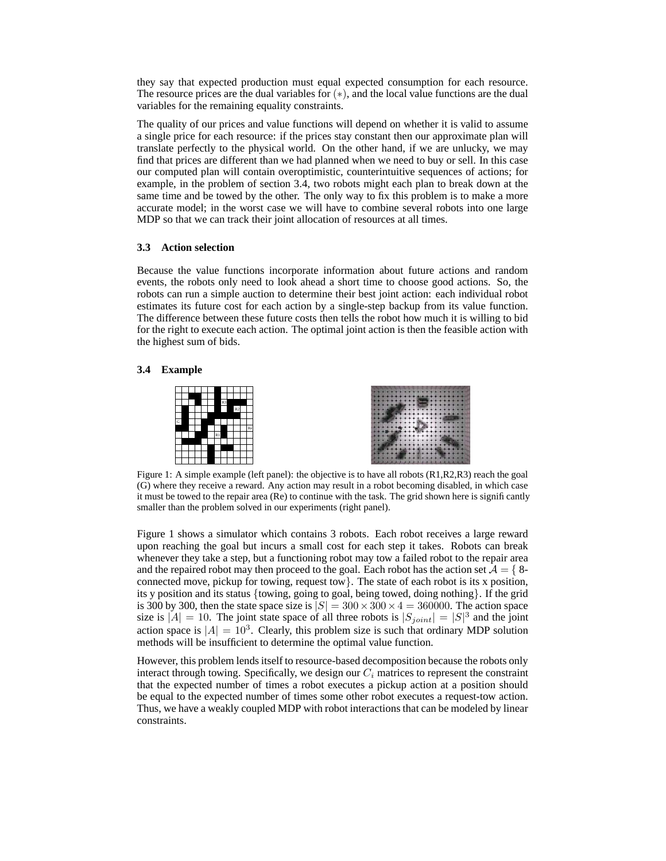they say that expected production must equal expected consumption for each resource. The resource prices are the dual variables for  $(*)$ , and the local value functions are the dual variables for the remaining equality constraints.

The quality of our prices and value functions will depend on whether it is valid to assume a single price for each resource: if the prices stay constant then our approximate plan will translate perfectly to the physical world. On the other hand, if we are unlucky, we may find that prices are different than we had planned when we need to buy or sell. In this case our computed plan will contain overoptimistic, counterintuitive sequences of actions; for example, in the problem of section 3.4, two robots might each plan to break down at the same time and be towed by the other. The only way to fix this problem is to make a more accurate model; in the worst case we will have to combine several robots into one large MDP so that we can track their joint allocation of resources at all times.

#### **3.3 Action selection**

Because the value functions incorporate information about future actions and random events, the robots only need to look ahead a short time to choose good actions. So, the robots can run a simple auction to determine their best joint action: each individual robot estimates its future cost for each action by a single-step backup from its value function. The difference between these future costs then tells the robot how much it is willing to bid for the right to execute each action. The optimal joint action is then the feasible action with the highest sum of bids.

#### **3.4 Example**



Figure 1: A simple example (left panel): the objective is to have all robots (R1,R2,R3) reach the goal (G) where they receive a reward. Any action may result in a robot becoming disabled, in which case it must be towed to the repair area (Re) to continue with the task. The grid shown here is significantly smaller than the problem solved in our experiments (right panel).

Figure 1 shows a simulator which contains 3 robots. Each robot receives a large reward upon reaching the goal but incurs a small cost for each step it takes. Robots can break whenever they take a step, but a functioning robot may tow a failed robot to the repair area and the repaired robot may then proceed to the goal. Each robot has the action set  $\mathcal{A} = \{8\}$ connected move, pickup for towing, request tow}. The state of each robot is its x position, its y position and its status {towing, going to goal, being towed, doing nothing}. If the grid is 300 by 300, then the state space size is  $|S| = 300 \times 300 \times 4 = 360000$ . The action space size is  $|A| = 10$ . The joint state space of all three robots is  $|S_{joint}| = |S|^3$  and the joint action space is  $|A| = 10^3$ . Clearly, this problem size is such that ordinary MDP solution methods will be insufficient to determine the optimal value function.

However, this problem lends itself to resource-based decomposition because the robots only interact through towing. Specifically, we design our  $C_i$  matrices to represent the constraint that the expected number of times a robot executes a pickup action at a position should be equal to the expected number of times some other robot executes a request-tow action. Thus, we have a weakly coupled MDP with robot interactions that can be modeled by linear constraints.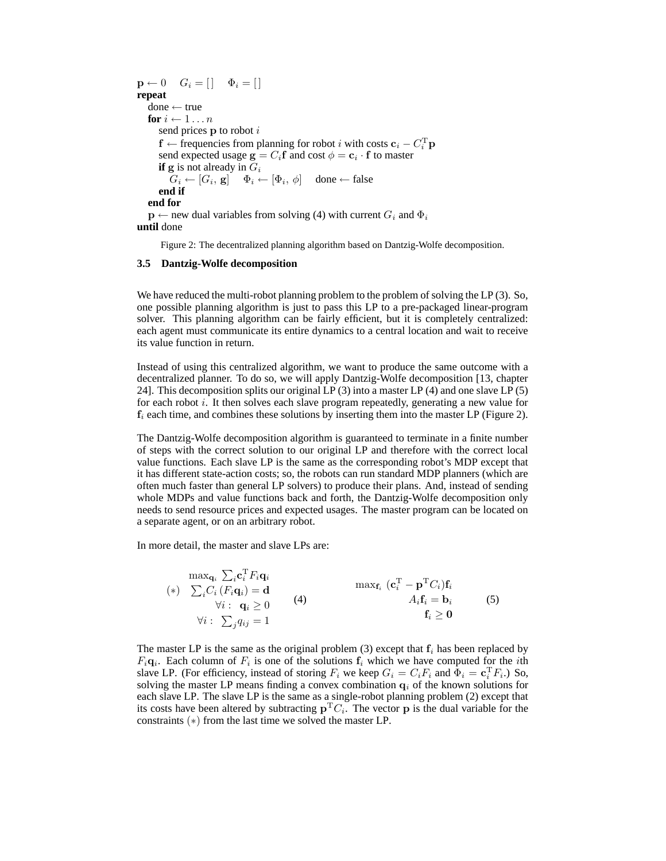$\mathbf{p} \leftarrow 0 \quad G_i = [\ ] \quad \Phi_i = [ ]$ **repeat** done ← true **for**  $i \leftarrow 1 \dots n$ send prices  $p$  to robot  $i$  $\mathbf{f} \leftarrow$  frequencies from planning for robot i with costs  $\mathbf{c}_i - C_i^T \mathbf{p}$ send expected usage  $\mathbf{g} = C_i \mathbf{f}$  and cost  $\phi = \mathbf{c}_i \cdot \mathbf{f}$  to master **if**  $g$  is not already in  $G_i$  $G_i \leftarrow [G_i, \mathbf{g}] \quad \Phi_i \leftarrow [\Phi_i, \phi] \quad \text{done} \leftarrow \text{false}$ **end if end for**  $\mathbf{p} \leftarrow$  new dual variables from solving (4) with current  $G_i$  and  $\Phi_i$ **until** done

Figure 2: The decentralized planning algorithm based on Dantzig-Wolfe decomposition.

#### **3.5 Dantzig-Wolfe decomposition**

We have reduced the multi-robot planning problem to the problem of solving the LP (3). So, one possible planning algorithm is just to pass this LP to a pre-packaged linear-program solver. This planning algorithm can be fairly efficient, but it is completely centralized: each agent must communicate its entire dynamics to a central location and wait to receive its value function in return.

Instead of using this centralized algorithm, we want to produce the same outcome with a decentralized planner. To do so, we will apply Dantzig-Wolfe decomposition [13, chapter 24]. This decomposition splits our original LP (3) into a master LP (4) and one slave LP (5) for each robot  $i$ . It then solves each slave program repeatedly, generating a new value for  $f_i$  each time, and combines these solutions by inserting them into the master LP (Figure 2).

The Dantzig-Wolfe decomposition algorithm is guaranteed to terminate in a finite number of steps with the correct solution to our original LP and therefore with the correct local value functions. Each slave LP is the same as the corresponding robot's MDP except that it has different state-action costs; so, the robots can run standard MDP planners (which are often much faster than general LP solvers) to produce their plans. And, instead of sending whole MDPs and value functions back and forth, the Dantzig-Wolfe decomposition only needs to send resource prices and expected usages. The master program can be located on a separate agent, or on an arbitrary robot.

In more detail, the master and slave LPs are:

$$
\begin{array}{ll}\n\max_{\mathbf{q}_i} \sum_i \mathbf{c}_i^{\mathrm{T}} F_i \mathbf{q}_i \\
(*) \sum_i C_i \left( F_i \mathbf{q}_i \right) = \mathbf{d} \\
\forall i : \mathbf{q}_i \geq 0 \\
\forall i : \sum_j q_{ij} = 1\n\end{array}\n\qquad (4)\n\begin{array}{ll}\n\max_{\mathbf{f}_i} (\mathbf{c}_i^{\mathrm{T}} - \mathbf{p}^{\mathrm{T}} C_i) \mathbf{f}_i \\
A_i \mathbf{f}_i = \mathbf{b}_i \\
\mathbf{f}_i \geq \mathbf{0}\n\end{array}\n\qquad (5)
$$

The master LP is the same as the original problem (3) except that  $f_i$  has been replaced by  $F_i$ **q**<sub>i</sub>. Each column of  $F_i$  is one of the solutions  $f_i$  which we have computed for the *i*th slave LP. (For efficiency, instead of storing  $F_i$  we keep  $G_i = C_i F_i$  and  $\Phi_i = \mathbf{c}_i^T F_i$ .) So, solving the master LP means finding a convex combination  $q_i$  of the known solutions for each slave LP. The slave LP is the same as a single-robot planning problem (2) except that its costs have been altered by subtracting  $p^T C_i$ . The vector p is the dual variable for the constraints (∗) from the last time we solved the master LP.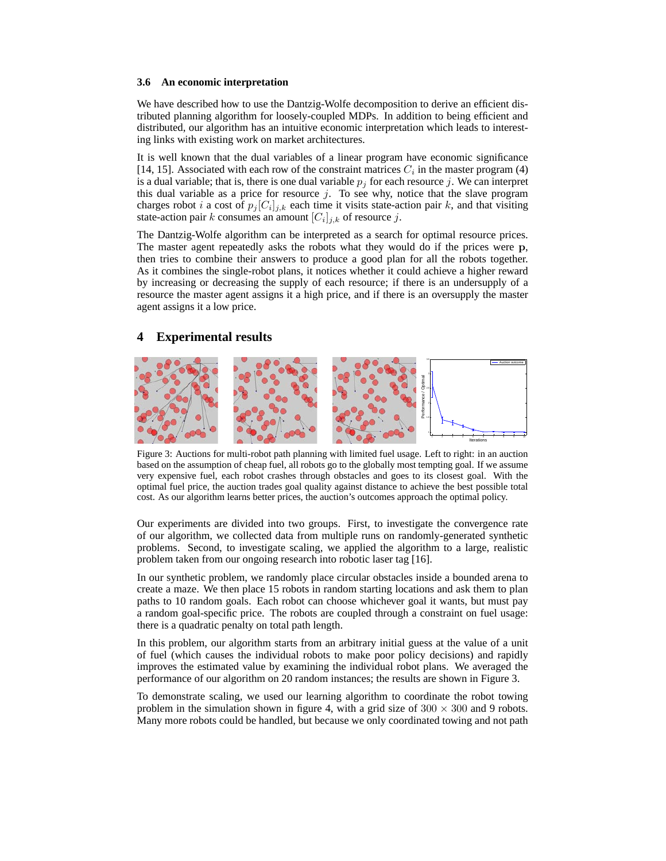#### **3.6 An economic interpretation**

We have described how to use the Dantzig-Wolfe decomposition to derive an efficient distributed planning algorithm for loosely-coupled MDPs. In addition to being efficient and distributed, our algorithm has an intuitive economic interpretation which leads to interesting links with existing work on market architectures.

It is well known that the dual variables of a linear program have economic significance [14, 15]. Associated with each row of the constraint matrices  $C_i$  in the master program (4) is a dual variable; that is, there is one dual variable  $p_j$  for each resource j. We can interpret this dual variable as a price for resource  $j$ . To see why, notice that the slave program charges robot *i* a cost of  $p_j[C_i]_{j,k}$  each time it visits state-action pair *k*, and that visiting state-action pair k consumes an amount  $[C_i]_{j,k}$  of resource j.

The Dantzig-Wolfe algorithm can be interpreted as a search for optimal resource prices. The master agent repeatedly asks the robots what they would do if the prices were p, then tries to combine their answers to produce a good plan for all the robots together. As it combines the single-robot plans, it notices whether it could achieve a higher reward by increasing or decreasing the supply of each resource; if there is an undersupply of a resource the master agent assigns it a high price, and if there is an oversupply the master agent assigns it a low price.

# **4 Experimental results**



Figure 3: Auctions for multi-robot path planning with limited fuel usage. Left to right: in an auction based on the assumption of cheap fuel, all robots go to the globally most tempting goal. If we assume very expensive fuel, each robot crashes through obstacles and goes to its closest goal. With the optimal fuel price, the auction trades goal quality against distance to achieve the best possible total cost. As our algorithm learns better prices, the auction's outcomes approach the optimal policy.

Our experiments are divided into two groups. First, to investigate the convergence rate of our algorithm, we collected data from multiple runs on randomly-generated synthetic problems. Second, to investigate scaling, we applied the algorithm to a large, realistic problem taken from our ongoing research into robotic laser tag [16].

In our synthetic problem, we randomly place circular obstacles inside a bounded arena to create a maze. We then place 15 robots in random starting locations and ask them to plan paths to 10 random goals. Each robot can choose whichever goal it wants, but must pay a random goal-specific price. The robots are coupled through a constraint on fuel usage: there is a quadratic penalty on total path length.

In this problem, our algorithm starts from an arbitrary initial guess at the value of a unit of fuel (which causes the individual robots to make poor policy decisions) and rapidly improves the estimated value by examining the individual robot plans. We averaged the performance of our algorithm on 20 random instances; the results are shown in Figure 3.

To demonstrate scaling, we used our learning algorithm to coordinate the robot towing problem in the simulation shown in figure 4, with a grid size of  $300 \times 300$  and 9 robots. Many more robots could be handled, but because we only coordinated towing and not path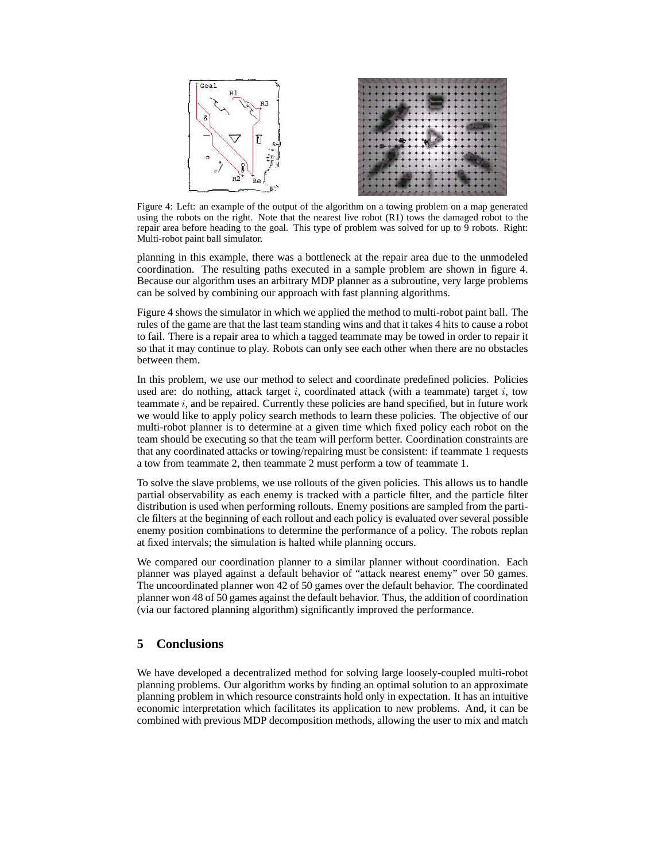

Figure 4: Left: an example of the output of the algorithm on a towing problem on a map generated using the robots on the right. Note that the nearest live robot (R1) tows the damaged robot to the repair area before heading to the goal. This type of problem was solved for up to 9 robots. Right: Multi-robot paint ball simulator.

planning in this example, there was a bottleneck at the repair area due to the unmodeled coordination. The resulting paths executed in a sample problem are shown in figure 4. Because our algorithm uses an arbitrary MDP planner as a subroutine, very large problems can be solved by combining our approach with fast planning algorithms.

Figure 4 shows the simulator in which we applied the method to multi-robot paint ball. The rules of the game are that the last team standing wins and that it takes 4 hits to cause a robot to fail. There is a repair area to which a tagged teammate may be towed in order to repair it so that it may continue to play. Robots can only see each other when there are no obstacles between them.

In this problem, we use our method to select and coordinate predefined policies. Policies used are: do nothing, attack target i, coordinated attack (with a teammate) target i, tow teammate i, and be repaired. Currently these policies are hand specified, but in future work we would like to apply policy search methods to learn these policies. The objective of our multi-robot planner is to determine at a given time which fixed policy each robot on the team should be executing so that the team will perform better. Coordination constraints are that any coordinated attacks or towing/repairing must be consistent: if teammate 1 requests a tow from teammate 2, then teammate 2 must perform a tow of teammate 1.

To solve the slave problems, we use rollouts of the given policies. This allows us to handle partial observability as each enemy is tracked with a particle filter, and the particle filter distribution is used when performing rollouts. Enemy positions are sampled from the particle filters at the beginning of each rollout and each policy is evaluated over several possible enemy position combinations to determine the performance of a policy. The robots replan at fixed intervals; the simulation is halted while planning occurs.

We compared our coordination planner to a similar planner without coordination. Each planner was played against a default behavior of "attack nearest enemy" over 50 games. The uncoordinated planner won 42 of 50 games over the default behavior. The coordinated planner won 48 of 50 games against the default behavior. Thus, the addition of coordination (via our factored planning algorithm) significantly improved the performance.

# **5 Conclusions**

We have developed a decentralized method for solving large loosely-coupled multi-robot planning problems. Our algorithm works by finding an optimal solution to an approximate planning problem in which resource constraints hold only in expectation. It has an intuitive economic interpretation which facilitates its application to new problems. And, it can be combined with previous MDP decomposition methods, allowing the user to mix and match